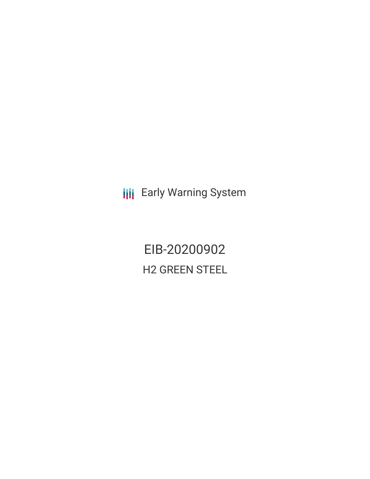**III** Early Warning System

EIB-20200902 H2 GREEN STEEL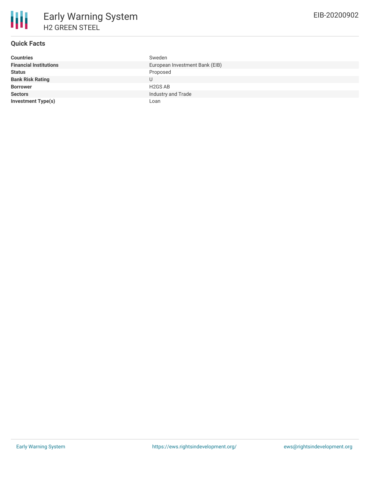# **Quick Facts**

| <b>Countries</b>              | Sweden                         |
|-------------------------------|--------------------------------|
| <b>Financial Institutions</b> | European Investment Bank (EIB) |
| <b>Status</b>                 | Proposed                       |
| <b>Bank Risk Rating</b>       | U                              |
| <b>Borrower</b>               | H <sub>2</sub> GS AB           |
| <b>Sectors</b>                | Industry and Trade             |
| <b>Investment Type(s)</b>     | Loan                           |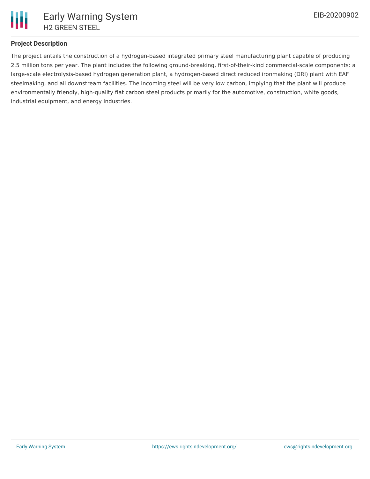

# **Project Description**

The project entails the construction of a hydrogen-based integrated primary steel manufacturing plant capable of producing 2.5 million tons per year. The plant includes the following ground-breaking, first-of-their-kind commercial-scale components: a large-scale electrolysis-based hydrogen generation plant, a hydrogen-based direct reduced ironmaking (DRI) plant with EAF steelmaking, and all downstream facilities. The incoming steel will be very low carbon, implying that the plant will produce environmentally friendly, high-quality flat carbon steel products primarily for the automotive, construction, white goods, industrial equipment, and energy industries.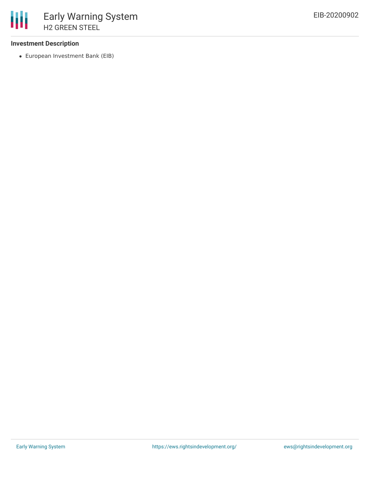## **Investment Description**

European Investment Bank (EIB)